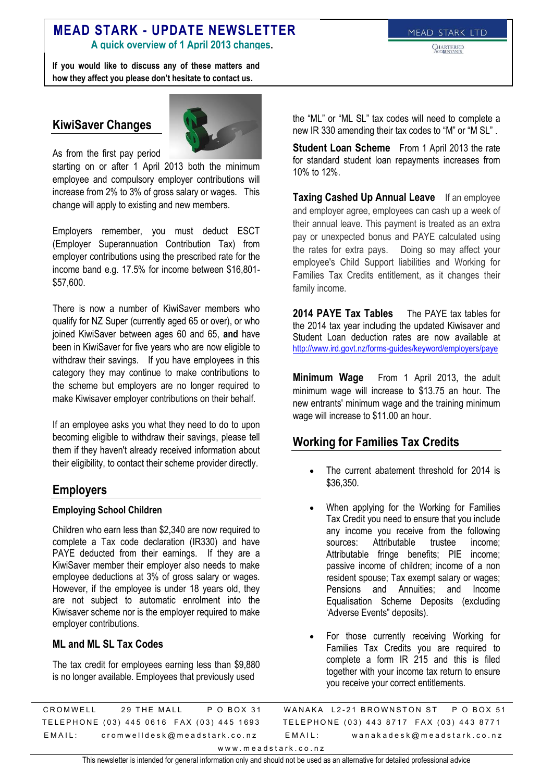# **MEAD STARK - UPDATE NEWSLETTER**

**A quick overview of 1 April 2013 changes.**

**If you would like to discuss any of these matters and how they affect you please don't hesitate to contact us.**

**CHARTERED** 

#### **KiwiSaver Changes**



As from the first pay period

starting on or after 1 April 2013 both the minimum employee and compulsory employer contributions will increase from 2% to 3% of gross salary or wages. This change will apply to existing and new members.

Employers remember, you must deduct ESCT (Employer Superannuation Contribution Tax) from employer contributions using the prescribed rate for the income band e.g. 17.5% for income between \$16,801- \$57,600.

There is now a number of KiwiSaver members who qualify for NZ Super (currently aged 65 or over), or who joined KiwiSaver between ages 60 and 65, **and** have been in KiwiSaver for five years who are now eligible to withdraw their savings. If you have employees in this category they may continue to make contributions to the scheme but employers are no longer required to make Kiwisaver employer contributions on their behalf.

If an employee asks you what they need to do to upon becoming eligible to withdraw their savings, please tell them if they haven't already received information about their eligibility, to contact their scheme provider directly.

#### **Employers**

#### **Employing School Children**

Children who earn less than \$2,340 are now required to complete a Tax code declaration (IR330) and have PAYE deducted from their earnings. If they are a KiwiSaver member their employer also needs to make employee deductions at 3% of gross salary or wages. However, if the employee is under 18 years old, they are not subject to automatic enrolment into the Kiwisaver scheme nor is the employer required to make employer contributions.

#### **ML and ML SL Tax Codes**

The tax credit for employees earning less than \$9,880 is no longer available. Employees that previously used

the "ML" or "ML SL" tax codes will need to complete a new IR 330 amending their tax codes to "M" or "M SL" .

**Student Loan Scheme** From 1 April 2013 the rate for standard student loan repayments increases from 10% to 12%.

**Taxing Cashed Up Annual Leave** If an employee and employer agree, employees can cash up a week of their annual leave. This payment is treated as an extra pay or unexpected bonus and PAYE calculated using the rates for extra pays. Doing so may affect your employee's Child Support liabilities and Working for Families Tax Credits entitlement, as it changes their family income.

**2014 PAYE Tax Tables** The PAYE tax tables for the 2014 tax year including the updated Kiwisaver and Student Loan deduction rates are now available at <http://www.ird.govt.nz/forms-guides/keyword/employers/paye>

**Minimum Wage** From 1 April 2013, the adult minimum wage will increase to \$13.75 an hour. The new entrants' minimum wage and the training minimum wage will increase to \$11.00 an hour.

## **Working for Families Tax Credits**

- The current abatement threshold for 2014 is \$36,350.
- When applying for the Working for Families Tax Credit you need to ensure that you include any income you receive from the following sources: Attributable trustee income; Attributable fringe benefits; PIE income; passive income of children; income of a non resident spouse; Tax exempt salary or wages; Pensions and Annuities; and Income Equalisation Scheme Deposits (excluding 'Adverse Events" deposits).
- For those currently receiving Working for Families Tax Credits you are required to complete a form IR 215 and this is filed together with your income tax return to ensure you receive your correct entitlements.

C ROMWELL 29 THE MALL P O BOX 31 TELEPHONE (03) 445 0616 FAX (03) 445 1693 E M A I L: crom w ell desk @ m e a d stark . co. n z WANAKA L2-21 BROWNSTON ST P O BOX 51 TELEPHONE (03) 443 8717 FAX (03) 443 8771 E M A I L: wanakadesk@meadstark.co.nz www.meadstark.co.nz